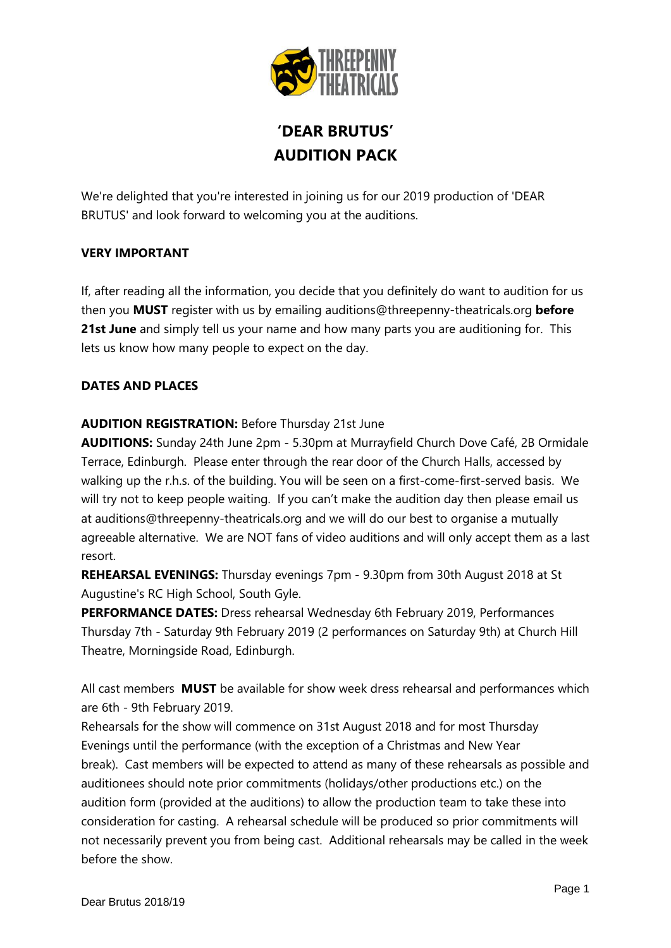

# **'DEAR BRUTUS' AUDITION PACK**

We're delighted that you're interested in joining us for our 2019 production of 'DEAR BRUTUS' and look forward to welcoming you at the auditions.

#### **VERY IMPORTANT**

If, after reading all the information, you decide that you definitely do want to audition for us then you **MUST** register with us by emailing [auditions@threepenny-theatricals.org](mailto:auditions@threepenny-theatricals.org) **before 21st June** and simply tell us your name and how many parts you are auditioning for. This lets us know how many people to expect on the day.

#### **DATES AND PLACES**

#### **AUDITION REGISTRATION:** Before Thursday 21st June

**AUDITIONS:** Sunday 24th June 2pm - 5.30pm at Murrayfield Church Dove Café, 2B Ormidale Terrace, Edinburgh. Please enter through the rear door of the Church Halls, accessed by walking up the r.h.s. of the building. You will be seen on a first-come-first-served basis. We will try not to keep people waiting. If you can't make the audition day then please email us at [auditions@threepenny-theatricals.org](mailto:auditions@threepenny-theatricals.org) and we will do our best to organise a mutually agreeable alternative. We are NOT fans of video auditions and will only accept them as a last resort.

**REHEARSAL EVENINGS:** Thursday evenings 7pm - 9.30pm from 30th August 2018 at St Augustine's RC High School, South Gyle.

**PERFORMANCE DATES:** Dress rehearsal Wednesday 6th February 2019, Performances Thursday 7th - Saturday 9th February 2019 (2 performances on Saturday 9th) at Church Hill Theatre, Morningside Road, Edinburgh.

All cast members **MUST** be available for show week dress rehearsal and performances which are 6th - 9th February 2019.

Rehearsals for the show will commence on 31st August 2018 and for most Thursday Evenings until the performance (with the exception of a Christmas and New Year break). Cast members will be expected to attend as many of these rehearsals as possible and auditionees should note prior commitments (holidays/other productions etc.) on the audition form (provided at the auditions) to allow the production team to take these into consideration for casting. A rehearsal schedule will be produced so prior commitments will not necessarily prevent you from being cast. Additional rehearsals may be called in the week before the show.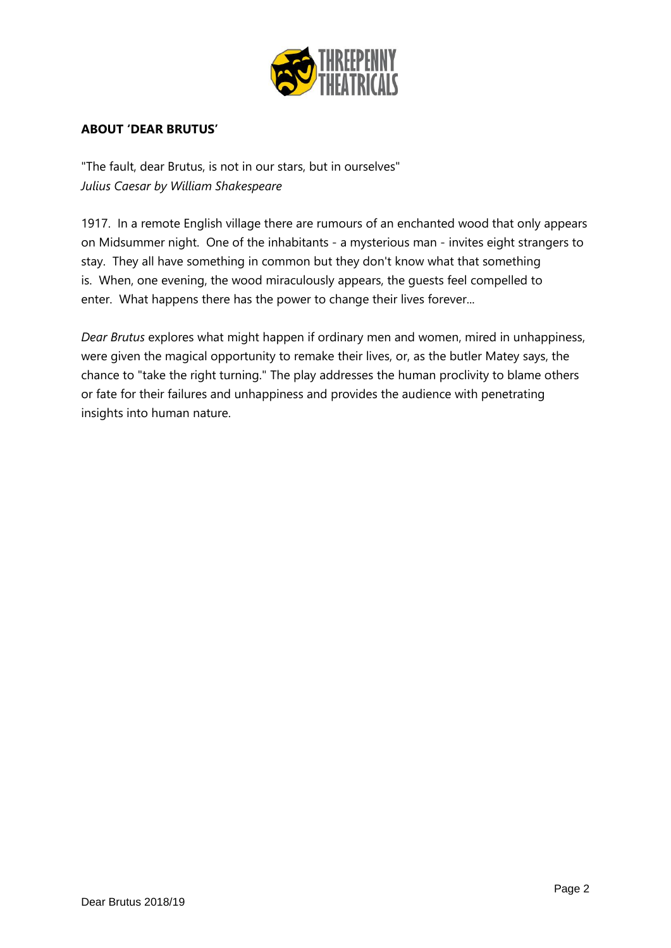

#### **ABOUT 'DEAR BRUTUS'**

"The fault, dear Brutus, is not in our stars, but in ourselves" *Julius Caesar by William Shakespeare*

1917. In a remote English village there are rumours of an enchanted wood that only appears on Midsummer night. One of the inhabitants - a mysterious man - invites eight strangers to stay. They all have something in common but they don't know what that something is. When, one evening, the wood miraculously appears, the guests feel compelled to enter. What happens there has the power to change their lives forever...

*Dear Brutus* explores what might happen if ordinary men and women, mired in unhappiness, were given the magical opportunity to remake their lives, or, as the butler Matey says, the chance to "take the right turning." The play addresses the human proclivity to blame others or fate for their failures and unhappiness and provides the audience with penetrating insights into human nature.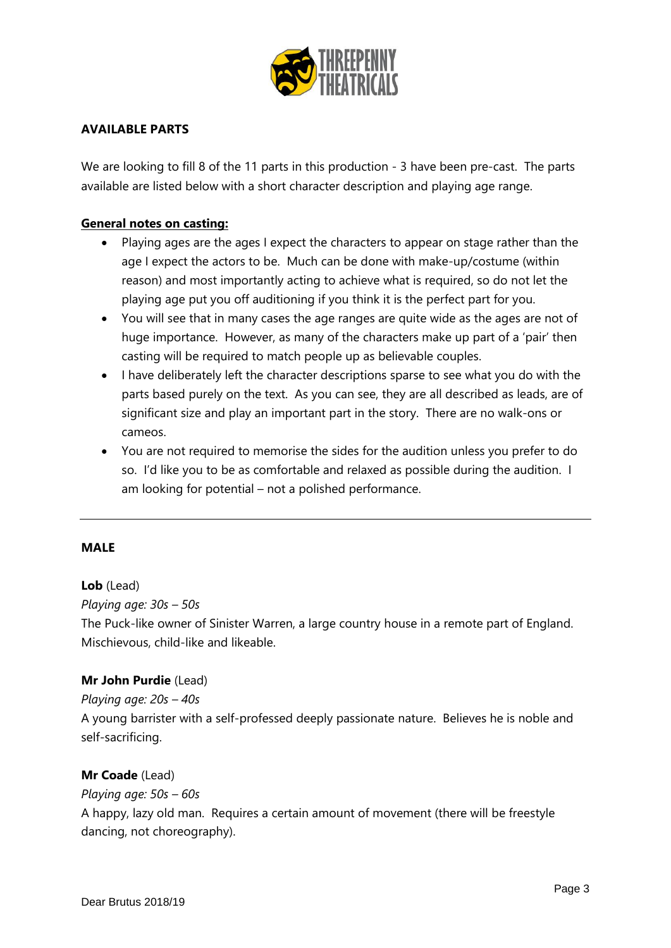

#### **AVAILABLE PARTS**

We are looking to fill 8 of the 11 parts in this production - 3 have been pre-cast. The parts available are listed below with a short character description and playing age range.

#### **General notes on casting:**

- Playing ages are the ages I expect the characters to appear on stage rather than the age I expect the actors to be. Much can be done with make-up/costume (within reason) and most importantly acting to achieve what is required, so do not let the playing age put you off auditioning if you think it is the perfect part for you.
- You will see that in many cases the age ranges are quite wide as the ages are not of huge importance. However, as many of the characters make up part of a 'pair' then casting will be required to match people up as believable couples.
- I have deliberately left the character descriptions sparse to see what you do with the parts based purely on the text. As you can see, they are all described as leads, are of significant size and play an important part in the story. There are no walk-ons or cameos.
- You are not required to memorise the sides for the audition unless you prefer to do so. I'd like you to be as comfortable and relaxed as possible during the audition. I am looking for potential – not a polished performance.

#### **MALE**

#### **Lob** (Lead)

*Playing age: 30s – 50s*

The Puck-like owner of Sinister Warren, a large country house in a remote part of England. Mischievous, child-like and likeable.

#### **Mr John Purdie** (Lead)

#### *Playing age: 20s – 40s*

A young barrister with a self-professed deeply passionate nature. Believes he is noble and self-sacrificing.

#### **Mr Coade** (Lead)

*Playing age: 50s – 60s*

A happy, lazy old man. Requires a certain amount of movement (there will be freestyle dancing, not choreography).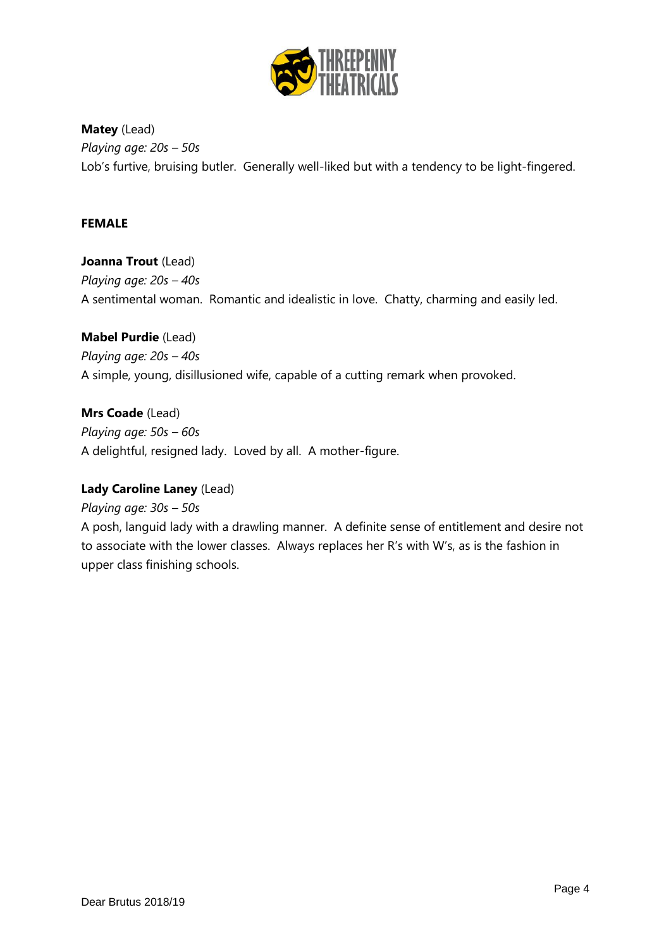

**Matey** (Lead) *Playing age: 20s – 50s* Lob's furtive, bruising butler. Generally well-liked but with a tendency to be light-fingered.

#### **FEMALE**

**Joanna Trout** (Lead) *Playing age: 20s – 40s* A sentimental woman. Romantic and idealistic in love. Chatty, charming and easily led.

**Mabel Purdie** (Lead) *Playing age: 20s – 40s* A simple, young, disillusioned wife, capable of a cutting remark when provoked.

**Mrs Coade** (Lead) *Playing age: 50s – 60s* A delightful, resigned lady. Loved by all. A mother-figure.

#### **Lady Caroline Laney** (Lead)

*Playing age: 30s – 50s* A posh, languid lady with a drawling manner. A definite sense of entitlement and desire not to associate with the lower classes. Always replaces her R's with W's, as is the fashion in upper class finishing schools.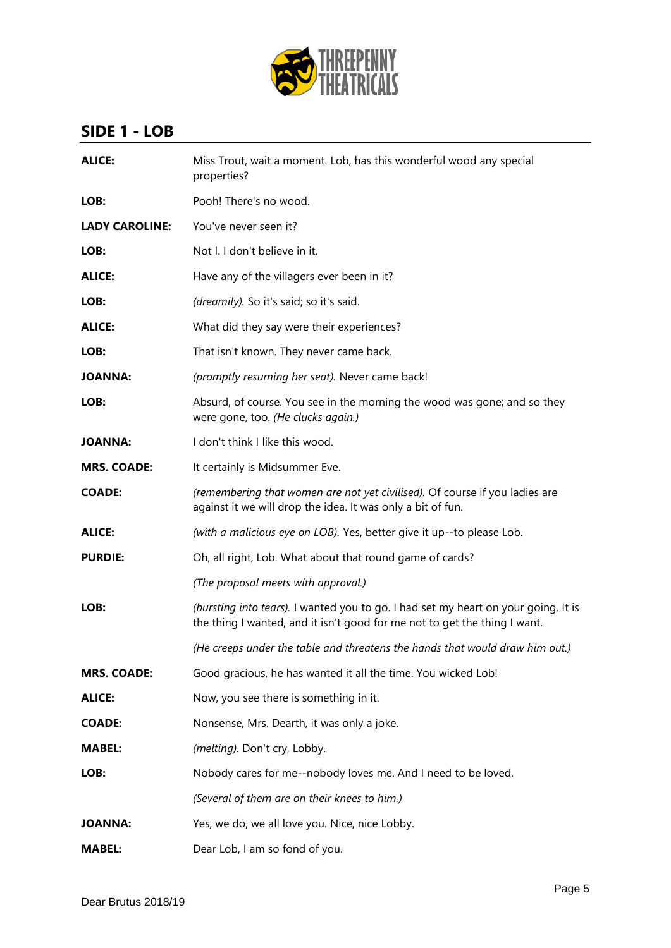

### **SIDE 1 - LOB**

| <b>ALICE:</b>         | Miss Trout, wait a moment. Lob, has this wonderful wood any special<br>properties?                                                                              |
|-----------------------|-----------------------------------------------------------------------------------------------------------------------------------------------------------------|
| LOB:                  | Pooh! There's no wood.                                                                                                                                          |
| <b>LADY CAROLINE:</b> | You've never seen it?                                                                                                                                           |
| LOB:                  | Not I. I don't believe in it.                                                                                                                                   |
| <b>ALICE:</b>         | Have any of the villagers ever been in it?                                                                                                                      |
| LOB:                  | (dreamily). So it's said; so it's said.                                                                                                                         |
| <b>ALICE:</b>         | What did they say were their experiences?                                                                                                                       |
| LOB:                  | That isn't known. They never came back.                                                                                                                         |
| <b>JOANNA:</b>        | (promptly resuming her seat). Never came back!                                                                                                                  |
| LOB:                  | Absurd, of course. You see in the morning the wood was gone; and so they<br>were gone, too. (He clucks again.)                                                  |
| <b>JOANNA:</b>        | I don't think I like this wood.                                                                                                                                 |
| <b>MRS. COADE:</b>    | It certainly is Midsummer Eve.                                                                                                                                  |
| <b>COADE:</b>         | (remembering that women are not yet civilised). Of course if you ladies are<br>against it we will drop the idea. It was only a bit of fun.                      |
| <b>ALICE:</b>         | (with a malicious eye on LOB). Yes, better give it up--to please Lob.                                                                                           |
| <b>PURDIE:</b>        | Oh, all right, Lob. What about that round game of cards?                                                                                                        |
|                       | (The proposal meets with approval.)                                                                                                                             |
| LOB:                  | (bursting into tears). I wanted you to go. I had set my heart on your going. It is<br>the thing I wanted, and it isn't good for me not to get the thing I want. |
|                       | (He creeps under the table and threatens the hands that would draw him out.)                                                                                    |
| <b>MRS. COADE:</b>    | Good gracious, he has wanted it all the time. You wicked Lob!                                                                                                   |
| <b>ALICE:</b>         | Now, you see there is something in it.                                                                                                                          |
| <b>COADE:</b>         | Nonsense, Mrs. Dearth, it was only a joke.                                                                                                                      |
| <b>MABEL:</b>         | (melting). Don't cry, Lobby.                                                                                                                                    |
| LOB:                  | Nobody cares for me--nobody loves me. And I need to be loved.                                                                                                   |
|                       | (Several of them are on their knees to him.)                                                                                                                    |
| <b>JOANNA:</b>        | Yes, we do, we all love you. Nice, nice Lobby.                                                                                                                  |
| <b>MABEL:</b>         | Dear Lob, I am so fond of you.                                                                                                                                  |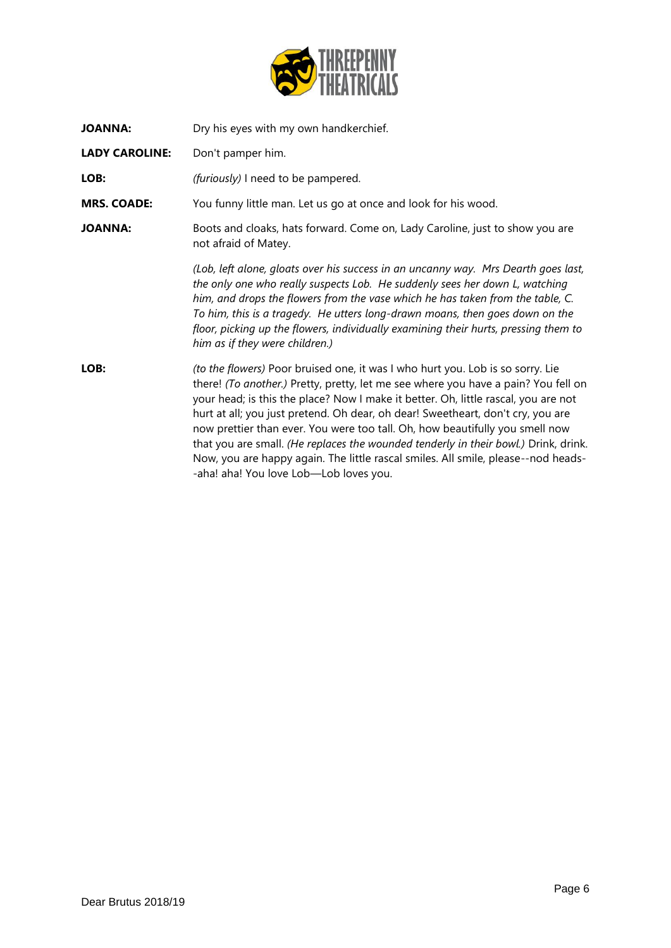

| <b>JOANNA:</b>        | Dry his eyes with my own handkerchief.                                                                                                                                                                                                                                                                                                                                                                                                                                                                                                                                                                                                              |
|-----------------------|-----------------------------------------------------------------------------------------------------------------------------------------------------------------------------------------------------------------------------------------------------------------------------------------------------------------------------------------------------------------------------------------------------------------------------------------------------------------------------------------------------------------------------------------------------------------------------------------------------------------------------------------------------|
| <b>LADY CAROLINE:</b> | Don't pamper him.                                                                                                                                                                                                                                                                                                                                                                                                                                                                                                                                                                                                                                   |
| LOB:                  | (furiously) I need to be pampered.                                                                                                                                                                                                                                                                                                                                                                                                                                                                                                                                                                                                                  |
| <b>MRS. COADE:</b>    | You funny little man. Let us go at once and look for his wood.                                                                                                                                                                                                                                                                                                                                                                                                                                                                                                                                                                                      |
| <b>JOANNA:</b>        | Boots and cloaks, hats forward. Come on, Lady Caroline, just to show you are<br>not afraid of Matey.                                                                                                                                                                                                                                                                                                                                                                                                                                                                                                                                                |
|                       | (Lob, left alone, gloats over his success in an uncanny way. Mrs Dearth goes last,<br>the only one who really suspects Lob. He suddenly sees her down L, watching<br>him, and drops the flowers from the vase which he has taken from the table, C.<br>To him, this is a tragedy. He utters long-drawn moans, then goes down on the<br>floor, picking up the flowers, individually examining their hurts, pressing them to<br>him as if they were children.)                                                                                                                                                                                        |
| LOB:                  | (to the flowers) Poor bruised one, it was I who hurt you. Lob is so sorry. Lie<br>there! (To another.) Pretty, pretty, let me see where you have a pain? You fell on<br>your head; is this the place? Now I make it better. Oh, little rascal, you are not<br>hurt at all; you just pretend. Oh dear, oh dear! Sweetheart, don't cry, you are<br>now prettier than ever. You were too tall. Oh, how beautifully you smell now<br>that you are small. (He replaces the wounded tenderly in their bowl.) Drink, drink.<br>Now, you are happy again. The little rascal smiles. All smile, please--nod heads-<br>-aha! aha! You love Lob-Lob loves you. |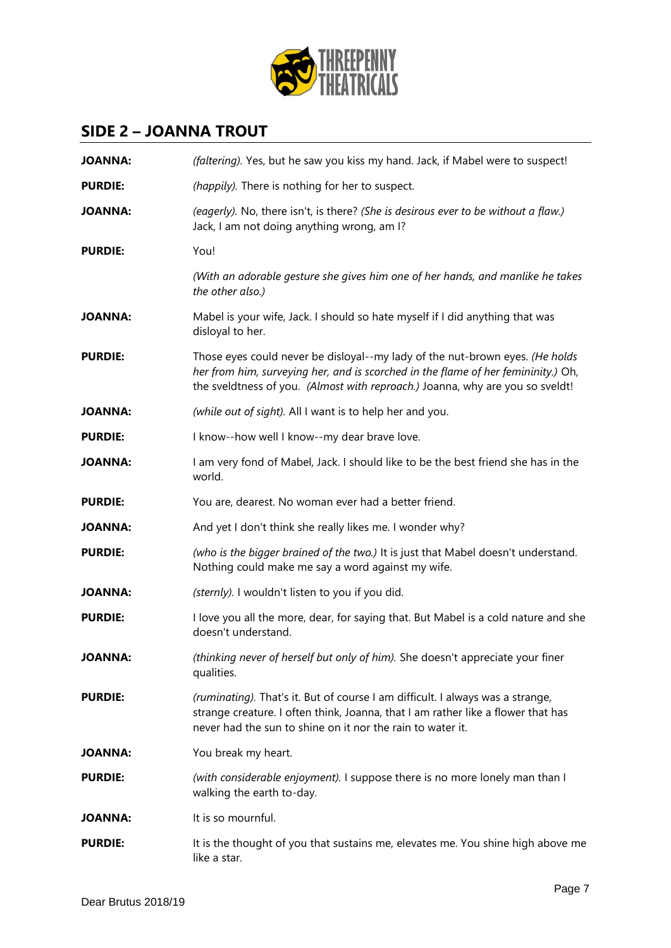

### **SIDE 2 – JOANNA TROUT**

| <b>JOANNA:</b> | (faltering). Yes, but he saw you kiss my hand. Jack, if Mabel were to suspect!                                                                                                                                                                     |
|----------------|----------------------------------------------------------------------------------------------------------------------------------------------------------------------------------------------------------------------------------------------------|
| <b>PURDIE:</b> | (happily). There is nothing for her to suspect.                                                                                                                                                                                                    |
| <b>JOANNA:</b> | (eagerly). No, there isn't, is there? (She is desirous ever to be without a flaw.)<br>Jack, I am not doing anything wrong, am I?                                                                                                                   |
| <b>PURDIE:</b> | You!                                                                                                                                                                                                                                               |
|                | (With an adorable gesture she gives him one of her hands, and manlike he takes<br>the other also.)                                                                                                                                                 |
| <b>JOANNA:</b> | Mabel is your wife, Jack. I should so hate myself if I did anything that was<br>disloyal to her.                                                                                                                                                   |
| <b>PURDIE:</b> | Those eyes could never be disloyal--my lady of the nut-brown eyes. (He holds<br>her from him, surveying her, and is scorched in the flame of her femininity.) Oh,<br>the sveldtness of you. (Almost with reproach.) Joanna, why are you so sveldt! |
| <b>JOANNA:</b> | (while out of sight). All I want is to help her and you.                                                                                                                                                                                           |
| <b>PURDIE:</b> | I know--how well I know--my dear brave love.                                                                                                                                                                                                       |
| <b>JOANNA:</b> | I am very fond of Mabel, Jack. I should like to be the best friend she has in the<br>world.                                                                                                                                                        |
| <b>PURDIE:</b> | You are, dearest. No woman ever had a better friend.                                                                                                                                                                                               |
| <b>JOANNA:</b> | And yet I don't think she really likes me. I wonder why?                                                                                                                                                                                           |
| <b>PURDIE:</b> | (who is the bigger brained of the two.) It is just that Mabel doesn't understand.<br>Nothing could make me say a word against my wife.                                                                                                             |
| <b>JOANNA:</b> | (sternly). I wouldn't listen to you if you did.                                                                                                                                                                                                    |
| <b>PURDIE:</b> | I love you all the more, dear, for saying that. But Mabel is a cold nature and she<br>doesn't understand.                                                                                                                                          |
| <b>JOANNA:</b> | (thinking never of herself but only of him). She doesn't appreciate your finer<br>qualities.                                                                                                                                                       |
| <b>PURDIE:</b> | (ruminating). That's it. But of course I am difficult. I always was a strange,<br>strange creature. I often think, Joanna, that I am rather like a flower that has<br>never had the sun to shine on it nor the rain to water it.                   |
| <b>JOANNA:</b> | You break my heart.                                                                                                                                                                                                                                |
| <b>PURDIE:</b> | (with considerable enjoyment). I suppose there is no more lonely man than I<br>walking the earth to-day.                                                                                                                                           |
| <b>JOANNA:</b> | It is so mournful.                                                                                                                                                                                                                                 |
| <b>PURDIE:</b> | It is the thought of you that sustains me, elevates me. You shine high above me<br>like a star.                                                                                                                                                    |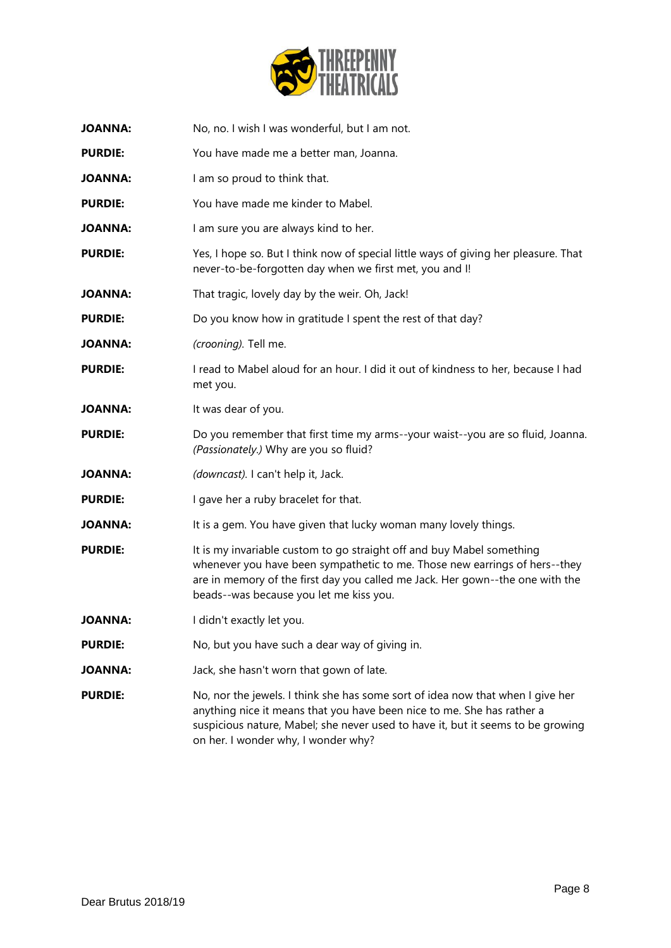

| <b>JOANNA:</b> | No, no. I wish I was wonderful, but I am not.                                                                                                                                                                                                                                      |
|----------------|------------------------------------------------------------------------------------------------------------------------------------------------------------------------------------------------------------------------------------------------------------------------------------|
| <b>PURDIE:</b> | You have made me a better man, Joanna.                                                                                                                                                                                                                                             |
| <b>JOANNA:</b> | I am so proud to think that.                                                                                                                                                                                                                                                       |
| <b>PURDIE:</b> | You have made me kinder to Mabel.                                                                                                                                                                                                                                                  |
| <b>JOANNA:</b> | I am sure you are always kind to her.                                                                                                                                                                                                                                              |
| <b>PURDIE:</b> | Yes, I hope so. But I think now of special little ways of giving her pleasure. That<br>never-to-be-forgotten day when we first met, you and I!                                                                                                                                     |
| <b>JOANNA:</b> | That tragic, lovely day by the weir. Oh, Jack!                                                                                                                                                                                                                                     |
| <b>PURDIE:</b> | Do you know how in gratitude I spent the rest of that day?                                                                                                                                                                                                                         |
| <b>JOANNA:</b> | (crooning). Tell me.                                                                                                                                                                                                                                                               |
| <b>PURDIE:</b> | I read to Mabel aloud for an hour. I did it out of kindness to her, because I had<br>met you.                                                                                                                                                                                      |
| <b>JOANNA:</b> | It was dear of you.                                                                                                                                                                                                                                                                |
| <b>PURDIE:</b> | Do you remember that first time my arms--your waist--you are so fluid, Joanna.<br>(Passionately.) Why are you so fluid?                                                                                                                                                            |
| <b>JOANNA:</b> | (downcast). I can't help it, Jack.                                                                                                                                                                                                                                                 |
| <b>PURDIE:</b> | I gave her a ruby bracelet for that.                                                                                                                                                                                                                                               |
| <b>JOANNA:</b> | It is a gem. You have given that lucky woman many lovely things.                                                                                                                                                                                                                   |
| <b>PURDIE:</b> | It is my invariable custom to go straight off and buy Mabel something<br>whenever you have been sympathetic to me. Those new earrings of hers--they<br>are in memory of the first day you called me Jack. Her gown--the one with the<br>beads--was because you let me kiss you.    |
| JOANNA:        | I didn't exactly let you.                                                                                                                                                                                                                                                          |
| <b>PURDIE:</b> | No, but you have such a dear way of giving in.                                                                                                                                                                                                                                     |
| <b>JOANNA:</b> | Jack, she hasn't worn that gown of late.                                                                                                                                                                                                                                           |
| <b>PURDIE:</b> | No, nor the jewels. I think she has some sort of idea now that when I give her<br>anything nice it means that you have been nice to me. She has rather a<br>suspicious nature, Mabel; she never used to have it, but it seems to be growing<br>on her. I wonder why, I wonder why? |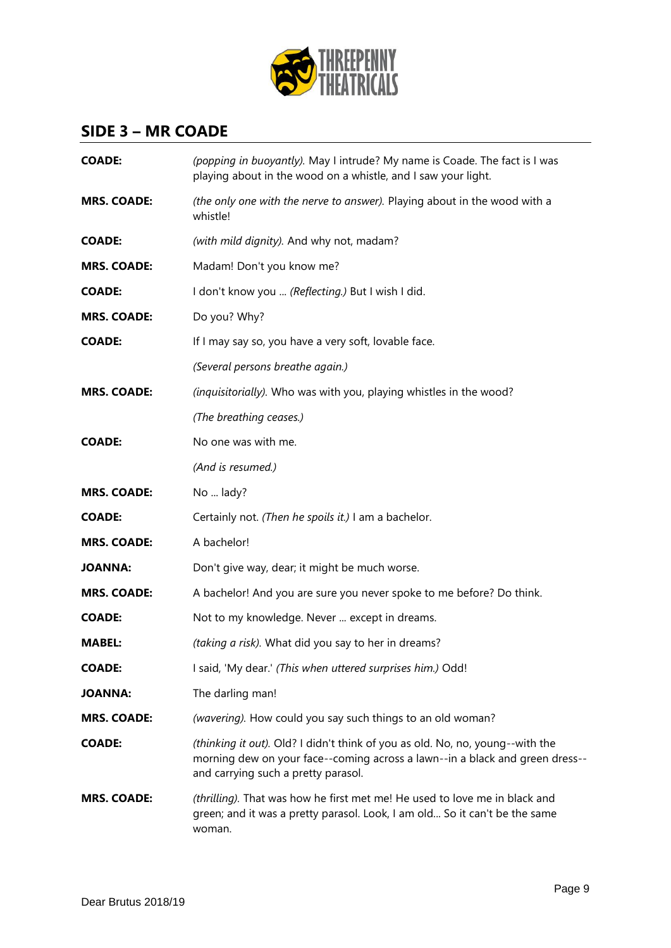

### **SIDE 3 – MR COADE**

| <b>COADE:</b>      | (popping in buoyantly). May I intrude? My name is Coade. The fact is I was<br>playing about in the wood on a whistle, and I saw your light.                                                          |
|--------------------|------------------------------------------------------------------------------------------------------------------------------------------------------------------------------------------------------|
| <b>MRS. COADE:</b> | (the only one with the nerve to answer). Playing about in the wood with a<br>whistle!                                                                                                                |
| <b>COADE:</b>      | (with mild dignity). And why not, madam?                                                                                                                                                             |
| <b>MRS. COADE:</b> | Madam! Don't you know me?                                                                                                                                                                            |
| <b>COADE:</b>      | I don't know you  (Reflecting.) But I wish I did.                                                                                                                                                    |
| <b>MRS. COADE:</b> | Do you? Why?                                                                                                                                                                                         |
| <b>COADE:</b>      | If I may say so, you have a very soft, lovable face.                                                                                                                                                 |
|                    | (Several persons breathe again.)                                                                                                                                                                     |
| <b>MRS. COADE:</b> | (inquisitorially). Who was with you, playing whistles in the wood?                                                                                                                                   |
|                    | (The breathing ceases.)                                                                                                                                                                              |
| <b>COADE:</b>      | No one was with me.                                                                                                                                                                                  |
|                    | (And is resumed.)                                                                                                                                                                                    |
| <b>MRS. COADE:</b> | No  lady?                                                                                                                                                                                            |
| <b>COADE:</b>      | Certainly not. (Then he spoils it.) I am a bachelor.                                                                                                                                                 |
| <b>MRS. COADE:</b> | A bachelor!                                                                                                                                                                                          |
| <b>JOANNA:</b>     | Don't give way, dear; it might be much worse.                                                                                                                                                        |
| <b>MRS. COADE:</b> | A bachelor! And you are sure you never spoke to me before? Do think.                                                                                                                                 |
| <b>COADE:</b>      | Not to my knowledge. Never  except in dreams.                                                                                                                                                        |
| <b>MABEL:</b>      | (taking a risk). What did you say to her in dreams?                                                                                                                                                  |
| <b>COADE:</b>      | I said, 'My dear.' (This when uttered surprises him.) Odd!                                                                                                                                           |
| JOANNA:            | The darling man!                                                                                                                                                                                     |
| <b>MRS. COADE:</b> | (wavering). How could you say such things to an old woman?                                                                                                                                           |
| <b>COADE:</b>      | (thinking it out). Old? I didn't think of you as old. No, no, young--with the<br>morning dew on your face--coming across a lawn--in a black and green dress--<br>and carrying such a pretty parasol. |
| <b>MRS. COADE:</b> | (thrilling). That was how he first met me! He used to love me in black and<br>green; and it was a pretty parasol. Look, I am old So it can't be the same<br>woman.                                   |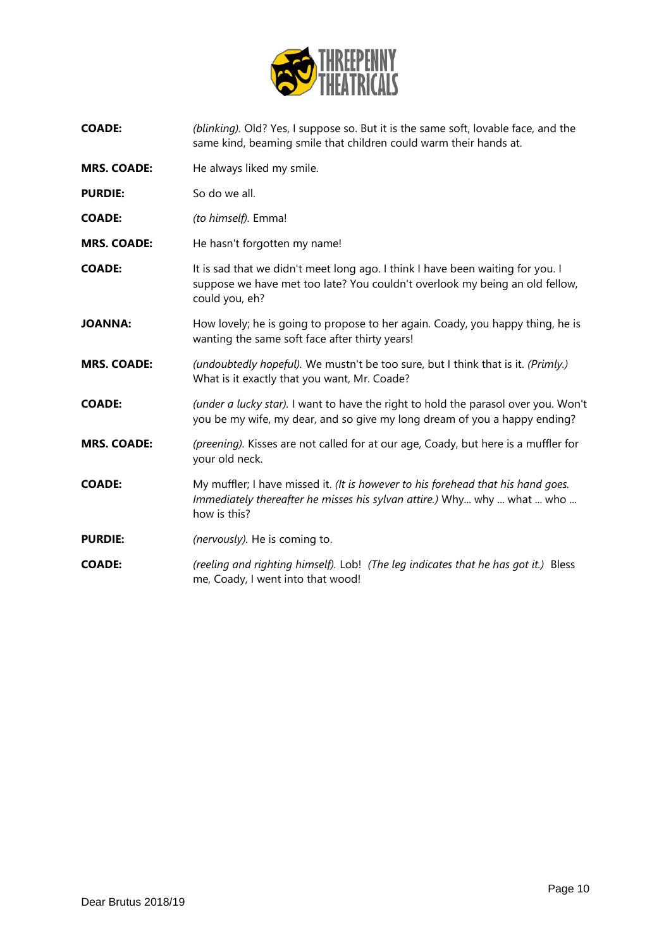

| COADE: | (blinking). Old? Yes, I suppose so. But it is the same soft, lovable face, and the |
|--------|------------------------------------------------------------------------------------|
|        | same kind, beaming smile that children could warm their hands at.                  |

- **MRS. COADE:** He always liked my smile.
- **PURDIE:** So do we all.
- **COADE:** *(to himself).* Emma!
- **MRS. COADE:** He hasn't forgotten my name!
- **COADE:** It is sad that we didn't meet long ago. I think I have been waiting for you. I suppose we have met too late? You couldn't overlook my being an old fellow, could you, eh?
- **JOANNA:** How lovely; he is going to propose to her again. Coady, you happy thing, he is wanting the same soft face after thirty years!
- **MRS. COADE:** *(undoubtedly hopeful).* We mustn't be too sure, but I think that is it. *(Primly.)* What is it exactly that you want, Mr. Coade?
- **COADE:** *(under a lucky star).* I want to have the right to hold the parasol over you. Won't you be my wife, my dear, and so give my long dream of you a happy ending?
- **MRS. COADE:** *(preening).* Kisses are not called for at our age, Coady, but here is a muffler for your old neck.
- **COADE:** My muffler; I have missed it. *(It is however to his forehead that his hand goes. Immediately thereafter he misses his sylvan attire.)* Why... why ... what ... who ... how is this?
- **PURDIE:** *(nervously)*. He is coming to.
- **COADE:** *(reeling and righting himself).* Lob! *(The leg indicates that he has got it.)* Bless me, Coady, I went into that wood!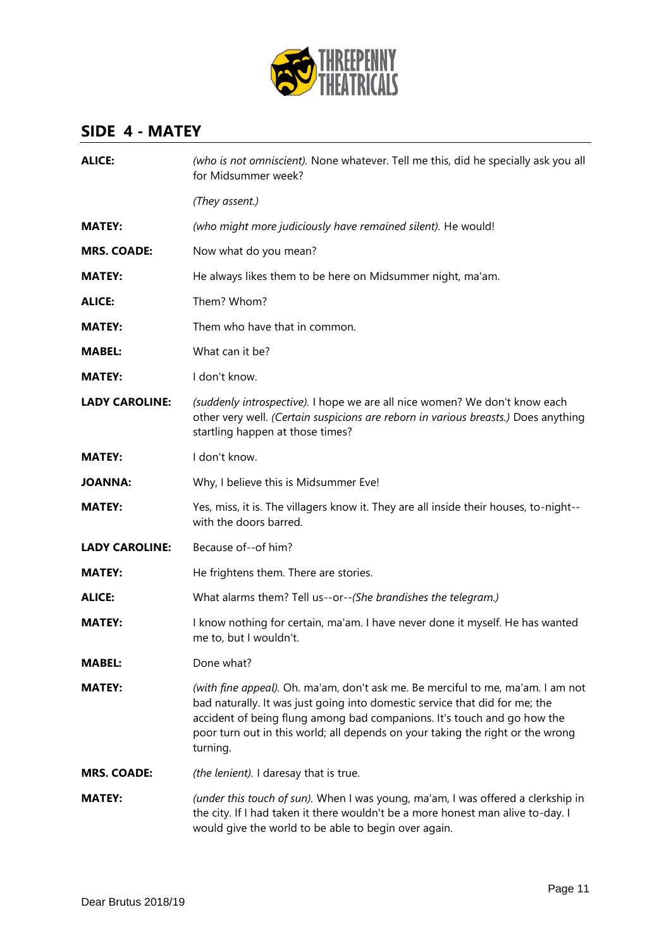

# **SIDE 4 - MATEY**

| <b>ALICE:</b>         | (who is not omniscient). None whatever. Tell me this, did he specially ask you all<br>for Midsummer week?                                                                                                                                                                                                                               |
|-----------------------|-----------------------------------------------------------------------------------------------------------------------------------------------------------------------------------------------------------------------------------------------------------------------------------------------------------------------------------------|
|                       | (They assent.)                                                                                                                                                                                                                                                                                                                          |
| <b>MATEY:</b>         | (who might more judiciously have remained silent). He would!                                                                                                                                                                                                                                                                            |
| <b>MRS. COADE:</b>    | Now what do you mean?                                                                                                                                                                                                                                                                                                                   |
| <b>MATEY:</b>         | He always likes them to be here on Midsummer night, ma'am.                                                                                                                                                                                                                                                                              |
| <b>ALICE:</b>         | Them? Whom?                                                                                                                                                                                                                                                                                                                             |
| <b>MATEY:</b>         | Them who have that in common.                                                                                                                                                                                                                                                                                                           |
| <b>MABEL:</b>         | What can it be?                                                                                                                                                                                                                                                                                                                         |
| <b>MATEY:</b>         | I don't know.                                                                                                                                                                                                                                                                                                                           |
| <b>LADY CAROLINE:</b> | (suddenly introspective). I hope we are all nice women? We don't know each<br>other very well. (Certain suspicions are reborn in various breasts.) Does anything<br>startling happen at those times?                                                                                                                                    |
| <b>MATEY:</b>         | I don't know.                                                                                                                                                                                                                                                                                                                           |
| <b>JOANNA:</b>        | Why, I believe this is Midsummer Eve!                                                                                                                                                                                                                                                                                                   |
| <b>MATEY:</b>         | Yes, miss, it is. The villagers know it. They are all inside their houses, to-night--<br>with the doors barred.                                                                                                                                                                                                                         |
| <b>LADY CAROLINE:</b> | Because of--of him?                                                                                                                                                                                                                                                                                                                     |
| <b>MATEY:</b>         | He frightens them. There are stories.                                                                                                                                                                                                                                                                                                   |
| <b>ALICE:</b>         | What alarms them? Tell us--or--(She brandishes the telegram.)                                                                                                                                                                                                                                                                           |
| <b>MATEY:</b>         | I know nothing for certain, ma'am. I have never done it myself. He has wanted<br>me to, but I wouldn't.                                                                                                                                                                                                                                 |
| <b>MABEL:</b>         | Done what?                                                                                                                                                                                                                                                                                                                              |
| <b>MATEY:</b>         | (with fine appeal). Oh. ma'am, don't ask me. Be merciful to me, ma'am. I am not<br>bad naturally. It was just going into domestic service that did for me; the<br>accident of being flung among bad companions. It's touch and go how the<br>poor turn out in this world; all depends on your taking the right or the wrong<br>turning. |
| <b>MRS. COADE:</b>    | (the lenient). I daresay that is true.                                                                                                                                                                                                                                                                                                  |
| <b>MATEY:</b>         | (under this touch of sun). When I was young, ma'am, I was offered a clerkship in<br>the city. If I had taken it there wouldn't be a more honest man alive to-day. I<br>would give the world to be able to begin over again.                                                                                                             |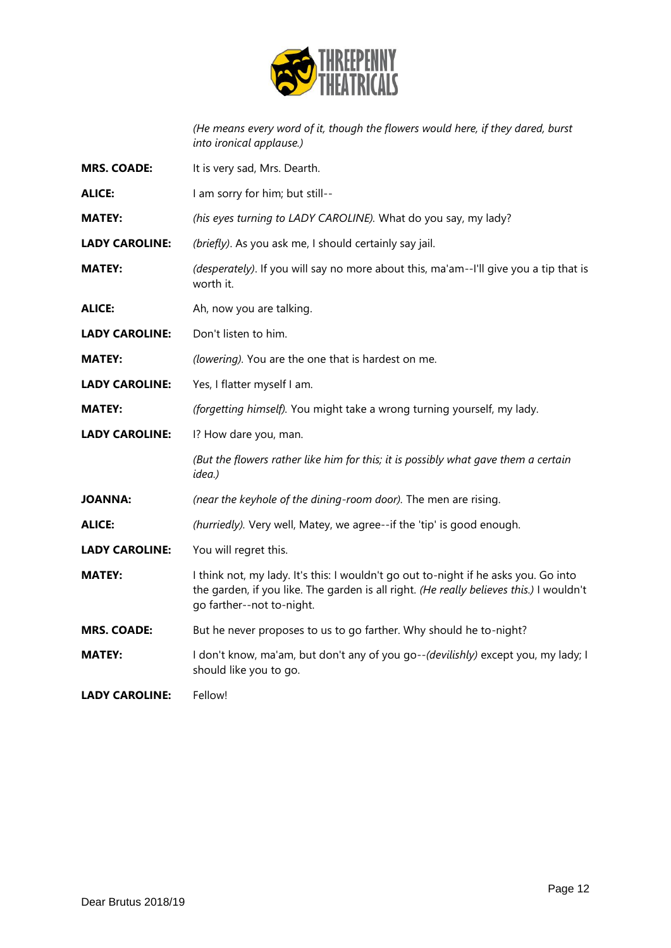

*(He means every word of it, though the flowers would here, if they dared, burst into ironical applause.)*

| <b>MRS. COADE:</b>    | It is very sad, Mrs. Dearth.                                                                                                                                                                                |
|-----------------------|-------------------------------------------------------------------------------------------------------------------------------------------------------------------------------------------------------------|
| <b>ALICE:</b>         | I am sorry for him; but still--                                                                                                                                                                             |
| <b>MATEY:</b>         | (his eyes turning to LADY CAROLINE). What do you say, my lady?                                                                                                                                              |
| <b>LADY CAROLINE:</b> | (briefly). As you ask me, I should certainly say jail.                                                                                                                                                      |
| <b>MATEY:</b>         | (desperately). If you will say no more about this, ma'am--I'll give you a tip that is<br>worth it.                                                                                                          |
| <b>ALICE:</b>         | Ah, now you are talking.                                                                                                                                                                                    |
| <b>LADY CAROLINE:</b> | Don't listen to him.                                                                                                                                                                                        |
| <b>MATEY:</b>         | (lowering). You are the one that is hardest on me.                                                                                                                                                          |
| <b>LADY CAROLINE:</b> | Yes, I flatter myself I am.                                                                                                                                                                                 |
| <b>MATEY:</b>         | (forgetting himself). You might take a wrong turning yourself, my lady.                                                                                                                                     |
| <b>LADY CAROLINE:</b> | I? How dare you, man.                                                                                                                                                                                       |
|                       | (But the flowers rather like him for this; it is possibly what gave them a certain<br>idea.)                                                                                                                |
| <b>JOANNA:</b>        | (near the keyhole of the dining-room door). The men are rising.                                                                                                                                             |
| <b>ALICE:</b>         | (hurriedly). Very well, Matey, we agree--if the 'tip' is good enough.                                                                                                                                       |
| <b>LADY CAROLINE:</b> | You will regret this.                                                                                                                                                                                       |
| <b>MATEY:</b>         | I think not, my lady. It's this: I wouldn't go out to-night if he asks you. Go into<br>the garden, if you like. The garden is all right. (He really believes this.) I wouldn't<br>go farther--not to-night. |
| <b>MRS. COADE:</b>    | But he never proposes to us to go farther. Why should he to-night?                                                                                                                                          |
| <b>MATEY:</b>         | I don't know, ma'am, but don't any of you go--(devilishly) except you, my lady; I<br>should like you to go.                                                                                                 |
| <b>LADY CAROLINE:</b> | Fellow!                                                                                                                                                                                                     |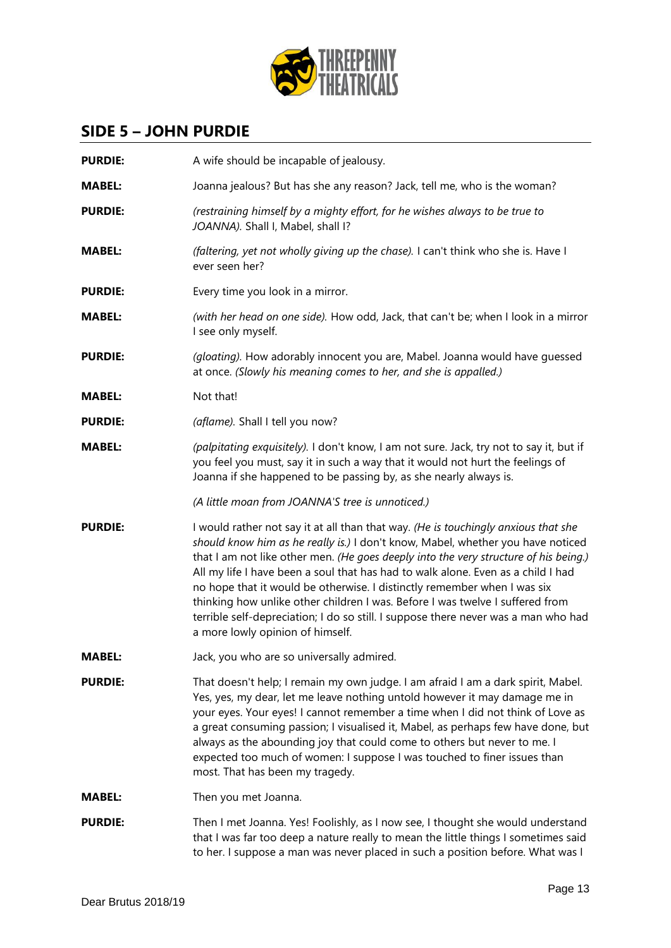

### **SIDE 5 – JOHN PURDIE**

| <b>PURDIE:</b> | A wife should be incapable of jealousy.                                                                                                                                                                                                                                                                                                                                                                                                                                                                                                                                                                                                  |
|----------------|------------------------------------------------------------------------------------------------------------------------------------------------------------------------------------------------------------------------------------------------------------------------------------------------------------------------------------------------------------------------------------------------------------------------------------------------------------------------------------------------------------------------------------------------------------------------------------------------------------------------------------------|
| <b>MABEL:</b>  | Joanna jealous? But has she any reason? Jack, tell me, who is the woman?                                                                                                                                                                                                                                                                                                                                                                                                                                                                                                                                                                 |
| <b>PURDIE:</b> | (restraining himself by a mighty effort, for he wishes always to be true to<br>JOANNA). Shall I, Mabel, shall I?                                                                                                                                                                                                                                                                                                                                                                                                                                                                                                                         |
| <b>MABEL:</b>  | (faltering, yet not wholly giving up the chase). I can't think who she is. Have I<br>ever seen her?                                                                                                                                                                                                                                                                                                                                                                                                                                                                                                                                      |
| <b>PURDIE:</b> | Every time you look in a mirror.                                                                                                                                                                                                                                                                                                                                                                                                                                                                                                                                                                                                         |
| <b>MABEL:</b>  | (with her head on one side). How odd, Jack, that can't be; when I look in a mirror<br>I see only myself.                                                                                                                                                                                                                                                                                                                                                                                                                                                                                                                                 |
| <b>PURDIE:</b> | (gloating). How adorably innocent you are, Mabel. Joanna would have guessed<br>at once. (Slowly his meaning comes to her, and she is appalled.)                                                                                                                                                                                                                                                                                                                                                                                                                                                                                          |
| <b>MABEL:</b>  | Not that!                                                                                                                                                                                                                                                                                                                                                                                                                                                                                                                                                                                                                                |
| <b>PURDIE:</b> | (aflame). Shall I tell you now?                                                                                                                                                                                                                                                                                                                                                                                                                                                                                                                                                                                                          |
| <b>MABEL:</b>  | (palpitating exquisitely). I don't know, I am not sure. Jack, try not to say it, but if<br>you feel you must, say it in such a way that it would not hurt the feelings of<br>Joanna if she happened to be passing by, as she nearly always is.                                                                                                                                                                                                                                                                                                                                                                                           |
|                | (A little moan from JOANNA'S tree is unnoticed.)                                                                                                                                                                                                                                                                                                                                                                                                                                                                                                                                                                                         |
| <b>PURDIE:</b> | I would rather not say it at all than that way. (He is touchingly anxious that she<br>should know him as he really is.) I don't know, Mabel, whether you have noticed<br>that I am not like other men. (He goes deeply into the very structure of his being.)<br>All my life I have been a soul that has had to walk alone. Even as a child I had<br>no hope that it would be otherwise. I distinctly remember when I was six<br>thinking how unlike other children I was. Before I was twelve I suffered from<br>terrible self-depreciation; I do so still. I suppose there never was a man who had<br>a more lowly opinion of himself. |
| <b>MABEL:</b>  | Jack, you who are so universally admired.                                                                                                                                                                                                                                                                                                                                                                                                                                                                                                                                                                                                |
| <b>PURDIE:</b> | That doesn't help; I remain my own judge. I am afraid I am a dark spirit, Mabel.<br>Yes, yes, my dear, let me leave nothing untold however it may damage me in<br>your eyes. Your eyes! I cannot remember a time when I did not think of Love as<br>a great consuming passion; I visualised it, Mabel, as perhaps few have done, but<br>always as the abounding joy that could come to others but never to me. I<br>expected too much of women: I suppose I was touched to finer issues than<br>most. That has been my tragedy.                                                                                                          |
| <b>MABEL:</b>  | Then you met Joanna.                                                                                                                                                                                                                                                                                                                                                                                                                                                                                                                                                                                                                     |
| <b>PURDIE:</b> | Then I met Joanna. Yes! Foolishly, as I now see, I thought she would understand<br>that I was far too deep a nature really to mean the little things I sometimes said<br>to her. I suppose a man was never placed in such a position before. What was I                                                                                                                                                                                                                                                                                                                                                                                  |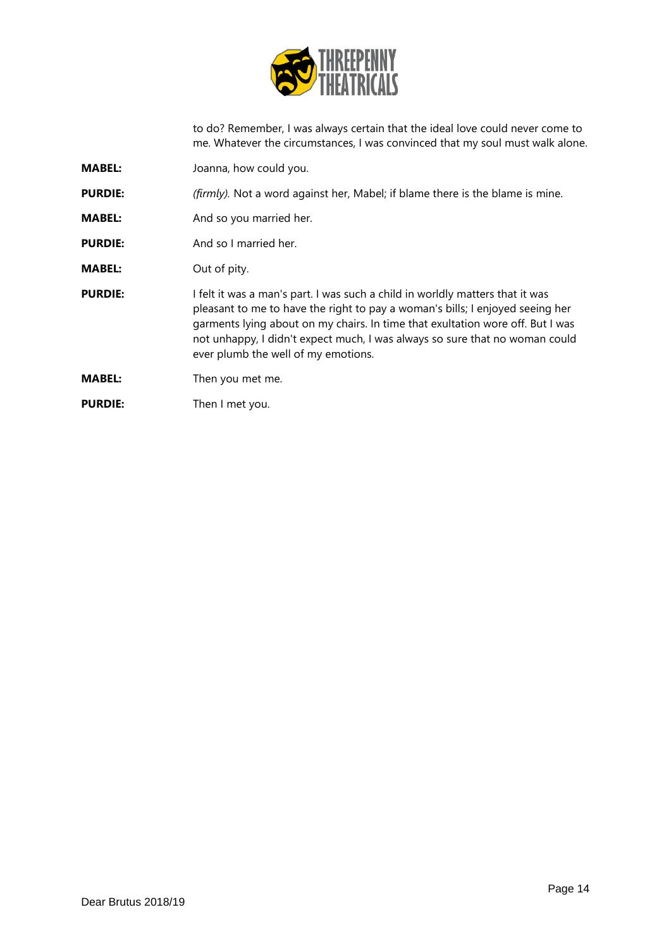

to do? Remember, I was always certain that the ideal love could never come to me. Whatever the circumstances, I was convinced that my soul must walk alone.

- **MABEL:** Joanna, how could you.
- **PURDIE:** *(firmly)*. Not a word against her, Mabel; if blame there is the blame is mine.
- **MABEL:** And so you married her.
- **PURDIE:** And so I married her.
- **MABEL:** Out of pity.
- **PURDIE:** I felt it was a man's part. I was such a child in worldly matters that it was pleasant to me to have the right to pay a woman's bills; I enjoyed seeing her garments lying about on my chairs. In time that exultation wore off. But I was not unhappy, I didn't expect much, I was always so sure that no woman could ever plumb the well of my emotions.
- **MABEL:** Then you met me.
- **PURDIE:** Then I met you.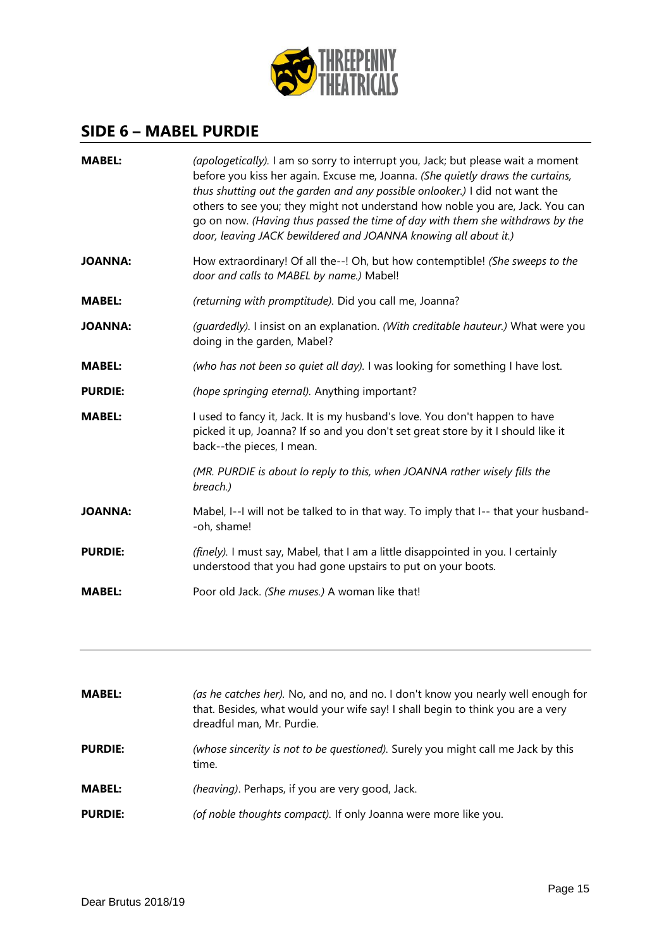

### **SIDE 6 – MABEL PURDIE**

| <b>MABEL:</b>  | (apologetically). I am so sorry to interrupt you, Jack; but please wait a moment<br>before you kiss her again. Excuse me, Joanna. (She quietly draws the curtains,<br>thus shutting out the garden and any possible onlooker.) I did not want the<br>others to see you; they might not understand how noble you are, Jack. You can<br>go on now. (Having thus passed the time of day with them she withdraws by the<br>door, leaving JACK bewildered and JOANNA knowing all about it.) |
|----------------|----------------------------------------------------------------------------------------------------------------------------------------------------------------------------------------------------------------------------------------------------------------------------------------------------------------------------------------------------------------------------------------------------------------------------------------------------------------------------------------|
| <b>JOANNA:</b> | How extraordinary! Of all the--! Oh, but how contemptible! (She sweeps to the<br>door and calls to MABEL by name.) Mabel!                                                                                                                                                                                                                                                                                                                                                              |
| <b>MABEL:</b>  | (returning with promptitude). Did you call me, Joanna?                                                                                                                                                                                                                                                                                                                                                                                                                                 |
| <b>JOANNA:</b> | (guardedly). I insist on an explanation. (With creditable hauteur.) What were you<br>doing in the garden, Mabel?                                                                                                                                                                                                                                                                                                                                                                       |
| <b>MABEL:</b>  | (who has not been so quiet all day). I was looking for something I have lost.                                                                                                                                                                                                                                                                                                                                                                                                          |
| <b>PURDIE:</b> | (hope springing eternal). Anything important?                                                                                                                                                                                                                                                                                                                                                                                                                                          |
| <b>MABEL:</b>  | I used to fancy it, Jack. It is my husband's love. You don't happen to have<br>picked it up, Joanna? If so and you don't set great store by it I should like it<br>back--the pieces, I mean.                                                                                                                                                                                                                                                                                           |
|                | (MR. PURDIE is about lo reply to this, when JOANNA rather wisely fills the<br>breach.)                                                                                                                                                                                                                                                                                                                                                                                                 |
| JOANNA:        | Mabel, I--I will not be talked to in that way. To imply that I-- that your husband-<br>-oh, shame!                                                                                                                                                                                                                                                                                                                                                                                     |
| <b>PURDIE:</b> | (finely). I must say, Mabel, that I am a little disappointed in you. I certainly<br>understood that you had gone upstairs to put on your boots.                                                                                                                                                                                                                                                                                                                                        |
| <b>MABEL:</b>  | Poor old Jack. (She muses.) A woman like that!                                                                                                                                                                                                                                                                                                                                                                                                                                         |

| <b>MABEL:</b>  | (as he catches her). No, and no, and no. I don't know you nearly well enough for<br>that. Besides, what would your wife say! I shall begin to think you are a very<br>dreadful man, Mr. Purdie. |
|----------------|-------------------------------------------------------------------------------------------------------------------------------------------------------------------------------------------------|
| <b>PURDIE:</b> | (whose sincerity is not to be questioned). Surely you might call me Jack by this<br>time.                                                                                                       |
| <b>MABEL:</b>  | (heaving). Perhaps, if you are very good, Jack.                                                                                                                                                 |
| <b>PURDIE:</b> | (of noble thoughts compact). If only Joanna were more like you.                                                                                                                                 |
|                |                                                                                                                                                                                                 |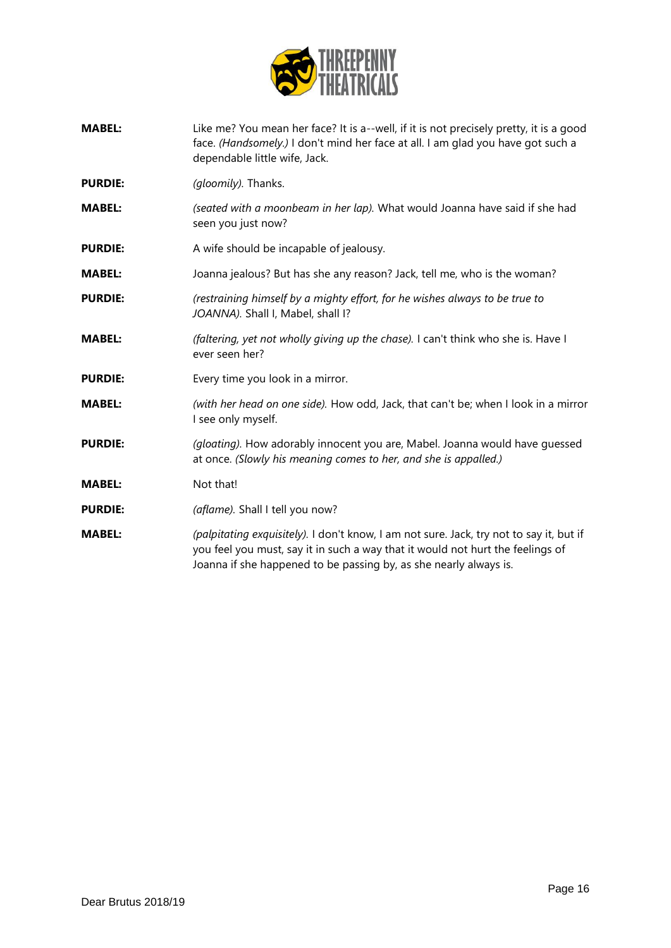

- **MABEL:** Like me? You mean her face? It is a--well, if it is not precisely pretty, it is a good face. *(Handsomely.)* I don't mind her face at all. I am glad you have got such a dependable little wife, Jack.
- **PURDIE:** *(gloomily).* Thanks.
- **MABEL:** *(seated with a moonbeam in her lap).* What would Joanna have said if she had seen you just now?
- **PURDIE:** A wife should be incapable of jealousy.
- **MABEL:** Joanna jealous? But has she any reason? Jack, tell me, who is the woman?
- **PURDIE:** *(restraining himself by a mighty effort, for he wishes always to be true to JOANNA).* Shall I, Mabel, shall I?
- **MABEL:** *(faltering, yet not wholly giving up the chase).* I can't think who she is. Have I ever seen her?
- **PURDIE:** Every time you look in a mirror.
- **MABEL:** *(with her head on one side).* How odd, Jack, that can't be; when I look in a mirror I see only myself.
- **PURDIE:** *(gloating).* How adorably innocent you are, Mabel. Joanna would have guessed at once. *(Slowly his meaning comes to her, and she is appalled.)*
- **MABEL:** Not that!
- **PURDIE:** *(aflame).* Shall I tell you now?
- **MABEL:** *(palpitating exquisitely).* I don't know, I am not sure. Jack, try not to say it, but if you feel you must, say it in such a way that it would not hurt the feelings of Joanna if she happened to be passing by, as she nearly always is.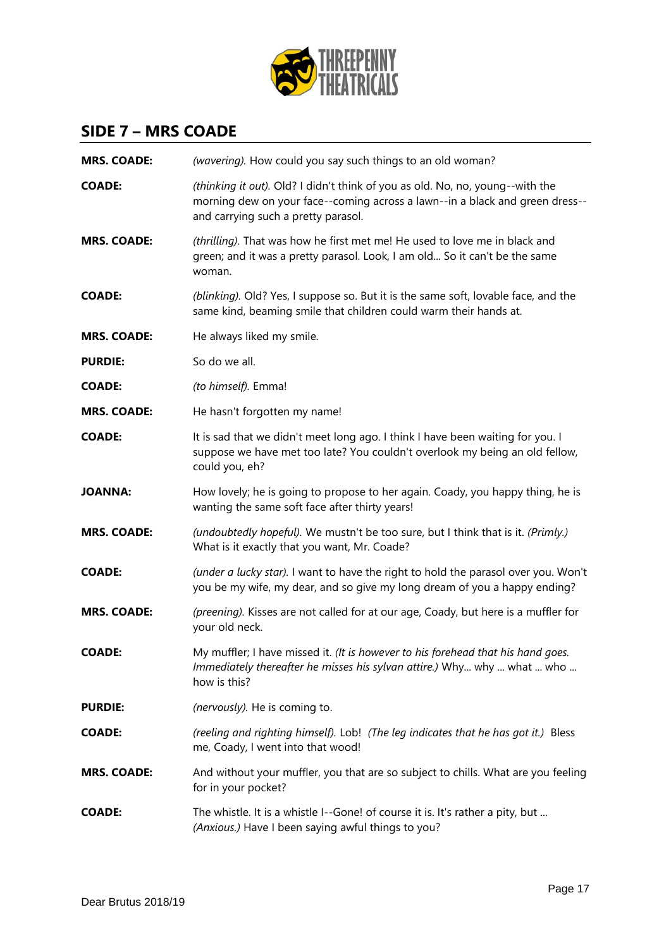

### **SIDE 7 – MRS COADE**

| <b>MRS. COADE:</b> | (wavering). How could you say such things to an old woman?                                                                                                                                           |
|--------------------|------------------------------------------------------------------------------------------------------------------------------------------------------------------------------------------------------|
| COADE:             | (thinking it out). Old? I didn't think of you as old. No, no, young--with the<br>morning dew on your face--coming across a lawn--in a black and green dress--<br>and carrying such a pretty parasol. |
| <b>MRS. COADE:</b> | (thrilling). That was how he first met me! He used to love me in black and<br>green; and it was a pretty parasol. Look, I am old So it can't be the same<br>woman.                                   |
| <b>COADE:</b>      | (blinking). Old? Yes, I suppose so. But it is the same soft, lovable face, and the<br>same kind, beaming smile that children could warm their hands at.                                              |
| <b>MRS. COADE:</b> | He always liked my smile.                                                                                                                                                                            |
| <b>PURDIE:</b>     | So do we all.                                                                                                                                                                                        |
| COADE:             | (to himself). Emma!                                                                                                                                                                                  |
| <b>MRS. COADE:</b> | He hasn't forgotten my name!                                                                                                                                                                         |
| <b>COADE:</b>      | It is sad that we didn't meet long ago. I think I have been waiting for you. I<br>suppose we have met too late? You couldn't overlook my being an old fellow,<br>could you, eh?                      |
| JOANNA:            | How lovely; he is going to propose to her again. Coady, you happy thing, he is<br>wanting the same soft face after thirty years!                                                                     |
| <b>MRS. COADE:</b> | (undoubtedly hopeful). We mustn't be too sure, but I think that is it. (Primly.)<br>What is it exactly that you want, Mr. Coade?                                                                     |
| <b>COADE:</b>      | (under a lucky star). I want to have the right to hold the parasol over you. Won't<br>you be my wife, my dear, and so give my long dream of you a happy ending?                                      |
| <b>MRS. COADE:</b> | (preening). Kisses are not called for at our age, Coady, but here is a muffler for<br>your old neck.                                                                                                 |
| COADE:             | My muffler; I have missed it. (It is however to his forehead that his hand goes.<br>Immediately thereafter he misses his sylvan attire.) Why why  what  who<br>how is this?                          |
| <b>PURDIE:</b>     | (nervously). He is coming to.                                                                                                                                                                        |
| <b>COADE:</b>      | (reeling and righting himself). Lob! (The leg indicates that he has got it.) Bless<br>me, Coady, I went into that wood!                                                                              |
| <b>MRS. COADE:</b> | And without your muffler, you that are so subject to chills. What are you feeling<br>for in your pocket?                                                                                             |
| COADE:             | The whistle. It is a whistle I--Gone! of course it is. It's rather a pity, but<br>(Anxious.) Have I been saying awful things to you?                                                                 |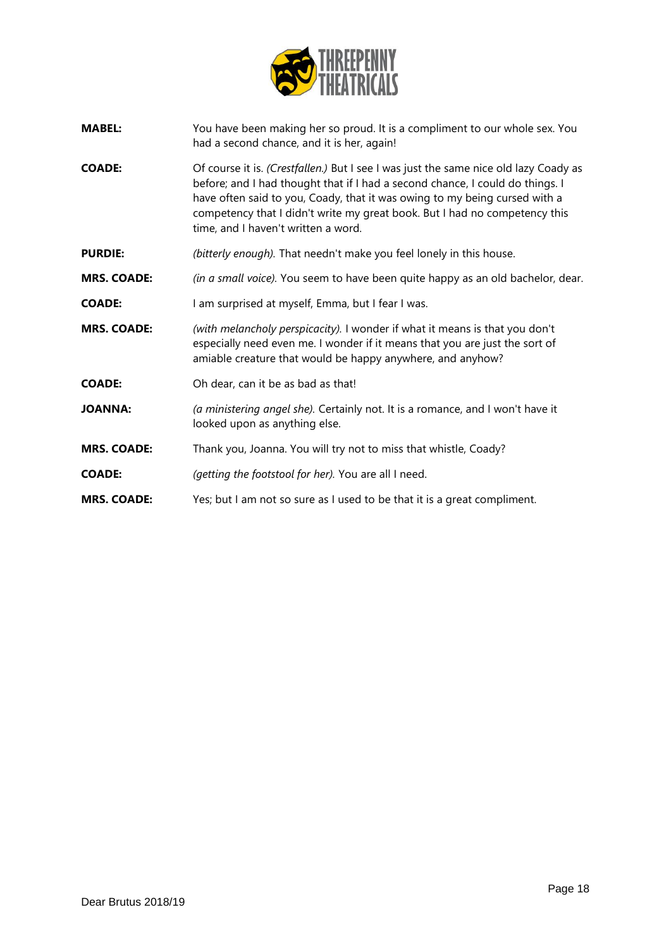

- **MABEL:** You have been making her so proud. It is a compliment to our whole sex. You had a second chance, and it is her, again!
- **COADE:** Of course it is. *(Crestfallen.)* But I see I was just the same nice old lazy Coady as before; and I had thought that if I had a second chance, I could do things. I have often said to you, Coady, that it was owing to my being cursed with a competency that I didn't write my great book. But I had no competency this time, and I haven't written a word.
- **PURDIE:** *(bitterly enough).* That needn't make you feel lonely in this house.
- **MRS. COADE:** *(in a small voice).* You seem to have been quite happy as an old bachelor, dear.
- **COADE:** I am surprised at myself, Emma, but I fear I was.
- **MRS. COADE:** *(with melancholy perspicacity).* I wonder if what it means is that you don't especially need even me. I wonder if it means that you are just the sort of amiable creature that would be happy anywhere, and anyhow?
- **COADE:** Oh dear, can it be as bad as that!
- **JOANNA:** *(a ministering angel she).* Certainly not. It is a romance, and I won't have it looked upon as anything else.
- **MRS. COADE:** Thank you, Joanna. You will try not to miss that whistle, Coady?
- **COADE:** *(getting the footstool for her).* You are all I need.
- **MRS. COADE:** Yes; but I am not so sure as I used to be that it is a great compliment.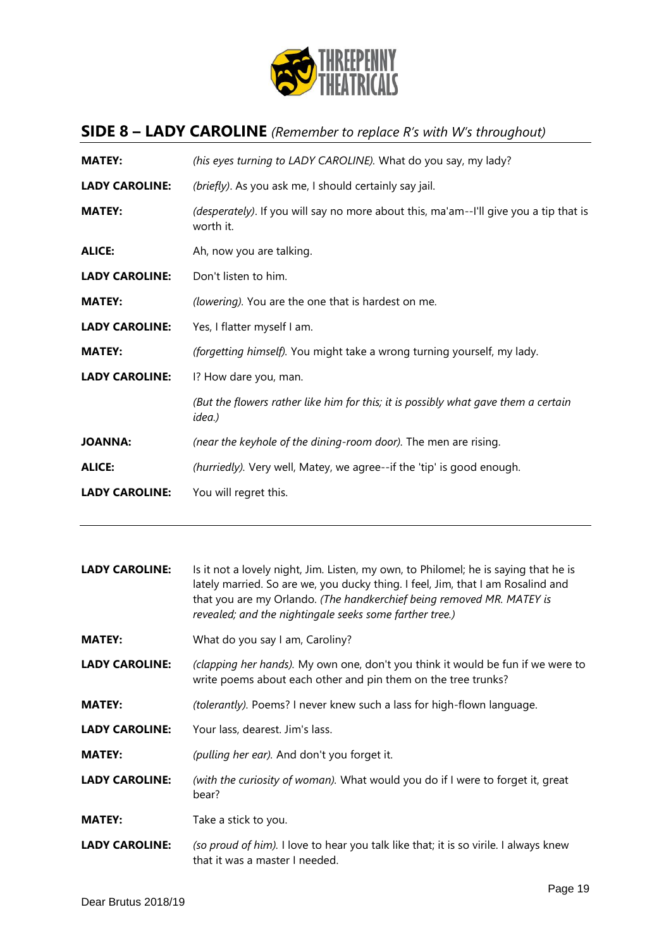

# **SIDE 8 – LADY CAROLINE** *(Remember to replace R's with W's throughout)*

| (his eyes turning to LADY CAROLINE). What do you say, my lady?                                     |
|----------------------------------------------------------------------------------------------------|
| (briefly). As you ask me, I should certainly say jail.                                             |
| (desperately). If you will say no more about this, ma'am--I'll give you a tip that is<br>worth it. |
| Ah, now you are talking.                                                                           |
| Don't listen to him.                                                                               |
| (lowering). You are the one that is hardest on me.                                                 |
| Yes, I flatter myself I am.                                                                        |
| (forgetting himself). You might take a wrong turning yourself, my lady.                            |
| I? How dare you, man.                                                                              |
| (But the flowers rather like him for this; it is possibly what gave them a certain<br>idea.)       |
| (near the keyhole of the dining-room door). The men are rising.                                    |
| (hurriedly). Very well, Matey, we agree--if the 'tip' is good enough.                              |
| You will regret this.                                                                              |
|                                                                                                    |

| <b>LADY CAROLINE:</b> | Is it not a lovely night, Jim. Listen, my own, to Philomel; he is saying that he is<br>lately married. So are we, you ducky thing. I feel, Jim, that I am Rosalind and<br>that you are my Orlando. (The handkerchief being removed MR. MATEY is<br>revealed; and the nightingale seeks some farther tree.) |
|-----------------------|------------------------------------------------------------------------------------------------------------------------------------------------------------------------------------------------------------------------------------------------------------------------------------------------------------|
| <b>MATEY:</b>         | What do you say I am, Caroliny?                                                                                                                                                                                                                                                                            |
| <b>LADY CAROLINE:</b> | (clapping her hands). My own one, don't you think it would be fun if we were to<br>write poems about each other and pin them on the tree trunks?                                                                                                                                                           |
| <b>MATEY:</b>         | (tolerantly). Poems? I never knew such a lass for high-flown language.                                                                                                                                                                                                                                     |
| <b>LADY CAROLINE:</b> | Your lass, dearest. Jim's lass.                                                                                                                                                                                                                                                                            |
| <b>MATEY:</b>         | (pulling her ear). And don't you forget it.                                                                                                                                                                                                                                                                |
| <b>LADY CAROLINE:</b> | (with the curiosity of woman). What would you do if I were to forget it, great<br>bear?                                                                                                                                                                                                                    |
| <b>MATEY:</b>         | Take a stick to you.                                                                                                                                                                                                                                                                                       |
| <b>LADY CAROLINE:</b> | (so proud of him). I love to hear you talk like that; it is so virile. I always knew<br>that it was a master I needed.                                                                                                                                                                                     |